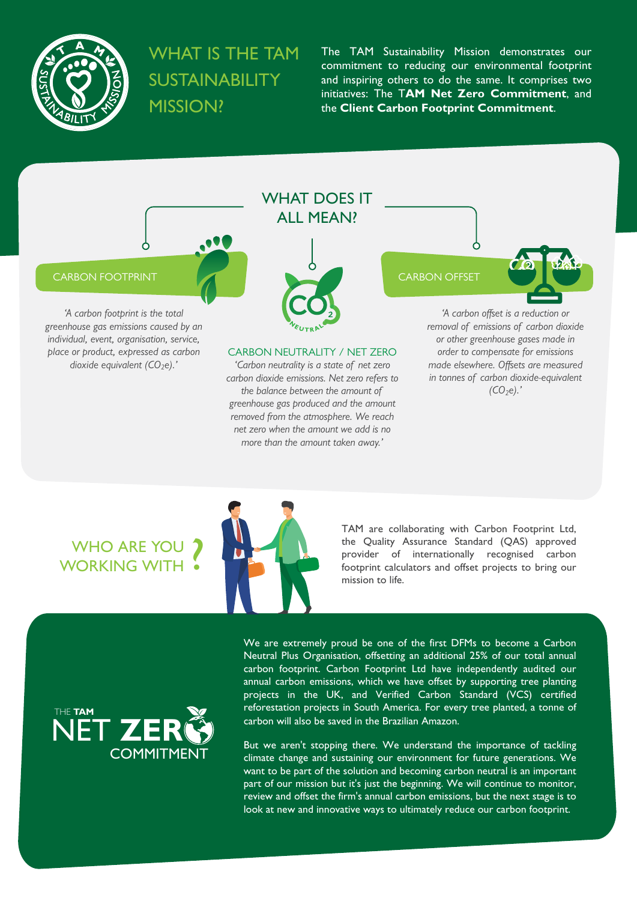

## **WHAT IS THE TAM SUSTAINABILITY MISSION?**

The TAM Sustainability Mission demonstrates our commitment to reducing our environmental footprint and inspiring others to do the same. It comprises two initiatives: The T**AM Net Zero Commitment**, and the **Client Carbon Footprint Commitment**.



*more than the amount taken away.'*

# WHO ARE YOU<br>WORKING WITH ?



TAM are collaborating with Carbon Footprint Ltd, the Quality Assurance Standard (QAS) approved provider of internationally recognised carbon footprint calculators and offset projects to bring our mission to life.



We are extremely proud be one of the first DFMs to become a Carbon Neutral Plus Organisation, offsetting an additional 25% of our total annual carbon footprint. Carbon Footprint Ltd have independently audited our annual carbon emissions, which we have offset by supporting tree planting projects in the UK, and Verified Carbon Standard (VCS) certified reforestation projects in South America. For every tree planted, a tonne of carbon will also be saved in the Brazilian Amazon.

But we aren't stopping there. We understand the importance of tackling climate change and sustaining our environment for future generations. We want to be part of the solution and becoming carbon neutral is an important part of our mission but it's just the beginning. We will continue to monitor, review and offset the firm's annual carbon emissions, but the next stage is to look at new and innovative ways to ultimately reduce our carbon footprint.